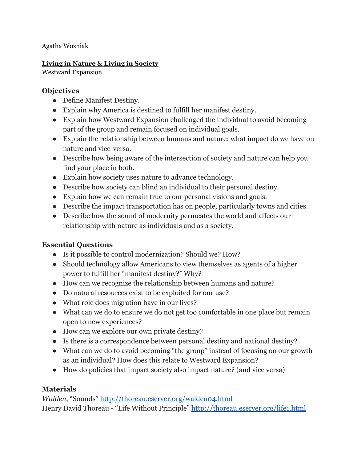Agatha Wozniak

#### **Living in Nature & Living in Society**

Westward Expansion

## **Objectives**

- Define Manifest Destiny.
- Explain why America is destined to fulfill her manifest destiny.
- Explain how Westward Expansion challenged the individual to avoid becoming part of the group and remain focused on individual goals.
- Explain the relationship between humans and nature; what impact do we have on nature and vice-versa.
- Describe how being aware of the intersection of society and nature can help you find your place in both.
- Explain how society uses nature to advance technology.
- Describe how society can blind an individual to their personal destiny.
- Explain how we can remain true to our personal visions and goals.
- Describe the impact transportation has on people, particularly towns and cities.
- Describe how the sound of modernity permeates the world and affects our relationship with nature as individuals and as a society.

## **Essential Questions**

- Is it possible to control modernization? Should we? How?
- Should technology allow Americans to view themselves as agents of a higher power to fulfill her "manifest destiny?" Why?
- How can we recognize the relationship between humans and nature?
- Do natural resources exist to be exploited for our use?
- What role does migration have in our lives?
- What can we do to ensure we do not get too comfortable in one place but remain open to new experiences?
- How can we explore our own private destiny?
- Is there is a correspondence between personal destiny and national destiny?
- What can we do to avoid becoming "the group" instead of focusing on our growth as an individual? How does this relate to Westward Expansion?
- How do policies that impact society also impact nature? (and vice versa)

# **Materials**

*Walden*, "Sounds" <http://thoreau.eserver.org/walden04.html> Henry David Thoreau - "Life Without Principle" <http://thoreau.eserver.org/life1.html>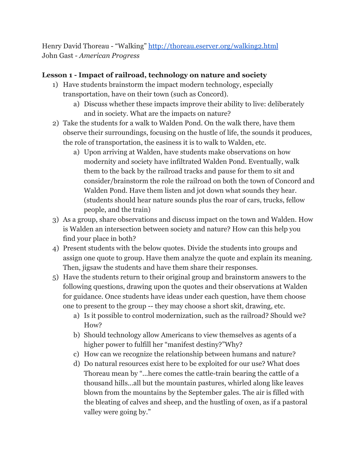Henry David Thoreau - "Walking"<http://thoreau.eserver.org/walking2.html> John Gast - *American Progress*

## **Lesson 1 - Impact of railroad, technology on nature and society**

- 1) Have students brainstorm the impact modern technology, especially transportation, have on their town (such as Concord).
	- a) Discuss whether these impacts improve their ability to live: deliberately and in society. What are the impacts on nature?
- 2) Take the students for a walk to Walden Pond. On the walk there, have them observe their surroundings, focusing on the hustle of life, the sounds it produces, the role of transportation, the easiness it is to walk to Walden, etc.
	- a) Upon arriving at Walden, have students make observations on how modernity and society have infiltrated Walden Pond. Eventually, walk them to the back by the railroad tracks and pause for them to sit and consider/brainstorm the role the railroad on both the town of Concord and Walden Pond. Have them listen and jot down what sounds they hear. (students should hear nature sounds plus the roar of cars, trucks, fellow people, and the train)
- 3) As a group, share observations and discuss impact on the town and Walden. How is Walden an intersection between society and nature? How can this help you find your place in both?
- 4) Present students with the below quotes. Divide the students into groups and assign one quote to group. Have them analyze the quote and explain its meaning. Then, jigsaw the students and have them share their responses.
- 5) Have the students return to their original group and brainstorm answers to the following questions, drawing upon the quotes and their observations at Walden for guidance. Once students have ideas under each question, have them choose one to present to the group -- they may choose a short skit, drawing, etc.
	- a) Is it possible to control modernization, such as the railroad? Should we? How?
	- b) Should technology allow Americans to view themselves as agents of a higher power to fulfill her "manifest destiny?"Why?
	- c) How can we recognize the relationship between humans and nature?
	- d) Do natural resources exist here to be exploited for our use? What does Thoreau mean by "...here comes the cattle-train bearing the cattle of a thousand hills...all but the mountain pastures, whirled along like leaves blown from the mountains by the September gales. The air is filled with the bleating of calves and sheep, and the hustling of oxen, as if a pastoral valley were going by."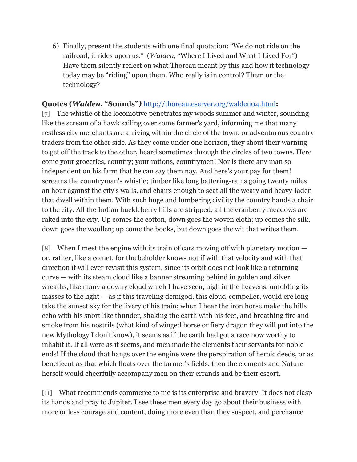6) Finally, present the students with one final quotation: "We do not ride on the railroad, it rides upon us." (*Walden,* "Where I Lived and What I Lived For") Have them silently reflect on what Thoreau meant by this and how it technology today may be "riding" upon them. Who really is in control? Them or the technology?

#### **Quotes (***Walden***, "Sounds"***)* <http://thoreau.eserver.org/walden04.html>**:**

[7] The whistle of the locomotive penetrates my woods summer and winter, sounding like the scream of a hawk sailing over some farmer's yard, informing me that many restless city merchants are arriving within the circle of the town, or adventurous country traders from the other side. As they come under one horizon, they shout their warning to get off the track to the other, heard sometimes through the circles of two towns. Here come your groceries, country; your rations, countrymen! Nor is there any man so independent on his farm that he can say them nay. And here's your pay for them! screams the countryman's whistle; timber like long battering-rams going twenty miles an hour against the city's walls, and chairs enough to seat all the weary and heavy-laden that dwell within them. With such huge and lumbering civility the country hands a chair to the city. All the Indian huckleberry hills are stripped, all the cranberry meadows are raked into the city. Up comes the cotton, down goes the woven cloth; up comes the silk, down goes the woollen; up come the books, but down goes the wit that writes them.

[8] When I meet the engine with its train of cars moving off with planetary motion or, rather, like a comet, for the beholder knows not if with that velocity and with that direction it will ever revisit this system, since its orbit does not look like a returning curve — with its steam cloud like a banner streaming behind in golden and silver wreaths, like many a downy cloud which I have seen, high in the heavens, unfolding its masses to the light  $-$  as if this traveling demigod, this cloud-compeller, would ere long take the sunset sky for the livery of his train; when I hear the iron horse make the hills echo with his snort like thunder, shaking the earth with his feet, and breathing fire and smoke from his nostrils (what kind of winged horse or fiery dragon they will put into the new Mythology I don't know), it seems as if the earth had got a race now worthy to inhabit it. If all were as it seems, and men made the elements their servants for noble ends! If the cloud that hangs over the engine were the perspiration of heroic deeds, or as beneficent as that which floats over the farmer's fields, then the elements and Nature herself would cheerfully accompany men on their errands and be their escort.

[11] What recommends commerce to me is its enterprise and bravery. It does not clasp its hands and pray to Jupiter. I see these men every day go about their business with more or less courage and content, doing more even than they suspect, and perchance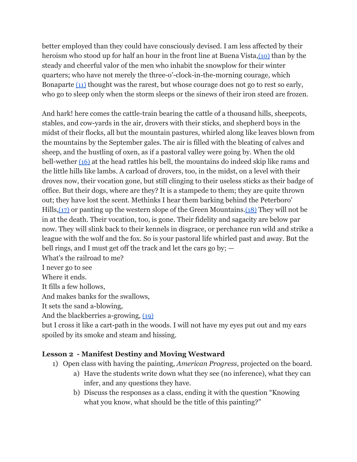better employed than they could have consciously devised. I am less affected by their heroism who stood up for half an hour in the front line at Buena Vista,[\(10\)](http://thoreau.eserver.org/walden04.html#notes) than by the steady and cheerful valor of the men who inhabit the snowplow for their winter quarters; who have not merely the three-o'-clock-in-the-morning courage, which Bonapart[e](http://thoreau.eserver.org/walden04.html#notes) [\(11\)](http://thoreau.eserver.org/walden04.html#notes) thought was the rarest, but whose courage does not go to rest so early, who go to sleep only when the storm sleeps or the sinews of their iron steed are frozen.

And hark! here comes the cattle-train bearing the cattle of a thousand hills, sheepcots, stables, and cow-yards in the air, drovers with their sticks, and shepherd boys in the midst of their flocks, all but the mountain pastures, whirled along like leaves blown from the mountains by the September gales. The air is filled with the bleating of calves and sheep, and the hustling of oxen, as if a pastoral valley were going by. When the old bell-wether [\(16\)](http://thoreau.eserver.org/walden04.html#notes2) at the head rattles his bell, the mountains do indeed skip like rams and the little hills like lambs. A carload of drovers, too, in the midst, on a level with their droves now, their vocation gone, but still clinging to their useless sticks as their badge of office. But their dogs, where are they? It is a stampede to them; they are quite thrown out; they have lost the scent. Methinks I hear them barking behind the Peterboro' Hills, $(17)$  or panting up the western slope of the Green Mountains. $(18)$  They will not be in at the death. Their vocation, too, is gone. Their fidelity and sagacity are below par now. They will slink back to their kennels in disgrace, or perchance run wild and strike a league with the wolf and the fox. So is your pastoral life whirled past and away. But the bell rings, and I must get off the track and let the cars go by; —

What's the railroad to me?

I never go to see

Where it ends.

It fills a few hollows,

And makes banks for the swallows,

It sets the sand a-blowing,

And the blackberries a-growing[,](http://thoreau.eserver.org/walden04.html#notes2) [\(19\)](http://thoreau.eserver.org/walden04.html#notes2)

but I cross it like a cart-path in the woods. I will not have my eyes put out and my ears spoiled by its smoke and steam and hissing.

### **Lesson 2 - Manifest Destiny and Moving Westward**

- 1) Open class with having the painting, *American Progress*, projected on the board.
	- a) Have the students write down what they see (no inference), what they can infer, and any questions they have.
	- b) Discuss the responses as a class, ending it with the question "Knowing what you know, what should be the title of this painting?"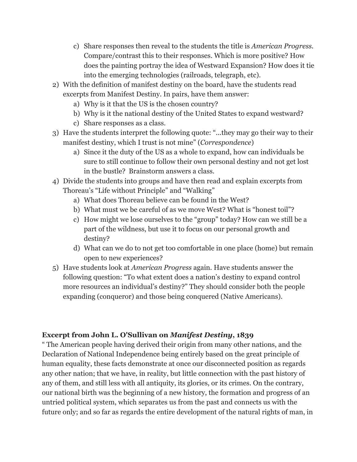- c) Share responses then reveal to the students the title is *American Progress.* Compare/contrast this to their responses. Which is more positive? How does the painting portray the idea of Westward Expansion? How does it tie into the emerging technologies (railroads, telegraph, etc).
- 2) With the definition of manifest destiny on the board, have the students read excerpts from Manifest Destiny. In pairs, have them answer:
	- a) Why is it that the US is the chosen country?
	- b) Why is it the national destiny of the United States to expand westward?
	- c) Share responses as a class.
- 3) Have the students interpret the following quote: "...they may go their way to their manifest destiny, which I trust is not mine" (*Correspondence*)
	- a) Since it the duty of the US as a whole to expand, how can individuals be sure to still continue to follow their own personal destiny and not get lost in the bustle? Brainstorm answers a class.
- 4) Divide the students into groups and have then read and explain excerpts from Thoreau's "Life without Principle" and "Walking"
	- a) What does Thoreau believe can be found in the West?
	- b) What must we be careful of as we move West? What is "honest toil"?
	- c) How might we lose ourselves to the "group" today? How can we still be a part of the wildness, but use it to focus on our personal growth and destiny?
	- d) What can we do to not get too comfortable in one place (home) but remain open to new experiences?
- 5) Have students look at *American Progress* again. Have students answer the following question: "To what extent does a nation's destiny to expand control more resources an individual's destiny?" They should consider both the people expanding (conqueror) and those being conquered (Native Americans).

#### **Excerpt from John L. O'Sullivan on** *Manifest Destiny***, 1839**

" The American people having derived their origin from many other nations, and the Declaration of National Independence being entirely based on the great principle of human equality, these facts demonstrate at once our disconnected position as regards any other nation; that we have, in reality, but little connection with the past history of any of them, and still less with all antiquity, its glories, or its crimes. On the contrary, our national birth was the beginning of a new history, the formation and progress of an untried political system, which separates us from the past and connects us with the future only; and so far as regards the entire development of the natural rights of man, in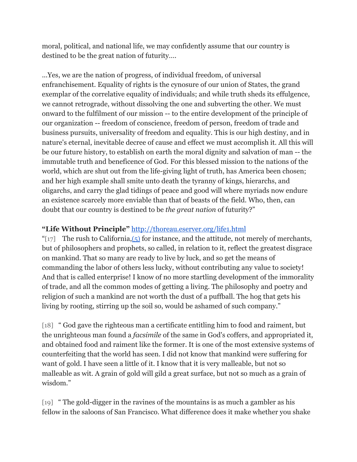moral, political, and national life, we may confidently assume that our country is destined to be the great nation of futurity….

...Yes, we are the nation of progress, of individual freedom, of universal enfranchisement. Equality of rights is the cynosure of our union of States, the grand exemplar of the correlative equality of individuals; and while truth sheds its effulgence, we cannot retrograde, without dissolving the one and subverting the other. We must onward to the fulfilment of our mission -- to the entire development of the principle of our organization -- freedom of conscience, freedom of person, freedom of trade and business pursuits, universality of freedom and equality. This is our high destiny, and in nature's eternal, inevitable decree of cause and effect we must accomplish it. All this will be our future history, to establish on earth the moral dignity and salvation of man -- the immutable truth and beneficence of God. For this blessed mission to the nations of the world, which are shut out from the life-giving light of truth, has America been chosen; and her high example shall smite unto death the tyranny of kings, hierarchs, and oligarchs, and carry the glad tidings of peace and good will where myriads now endure an existence scarcely more enviable than that of beasts of the field. Who, then, can doubt that our country is destined to be *the great nation* of futurity?"

# **"Life Without Principle"** <http://thoreau.eserver.org/life1.html>

"[17] The rush to California, $(5)$  for instance, and the attitude, not merely of merchants, but of philosophers and prophets, so called, in relation to it, reflect the greatest disgrace on mankind. That so many are ready to live by luck, and so get the means of commanding the labor of others less lucky, without contributing any value to society! And that is called enterprise! I know of no more startling development of the immorality of trade, and all the common modes of getting a living. The philosophy and poetry and religion of such a mankind are not worth the dust of a puffball. The hog that gets his living by rooting, stirring up the soil so, would be ashamed of such company."

[18] " God gave the righteous man a certificate entitling him to food and raiment, but the unrighteous man found a *facsimile* of the same in God's coffers, and appropriated it, and obtained food and raiment like the former. It is one of the most extensive systems of counterfeiting that the world has seen. I did not know that mankind were suffering for want of gold. I have seen a little of it. I know that it is very malleable, but not so malleable as wit. A grain of gold will gild a great surface, but not so much as a grain of wisdom."

[19] " The gold-digger in the ravines of the mountains is as much a gambler as his fellow in the saloons of San Francisco. What difference does it make whether you shake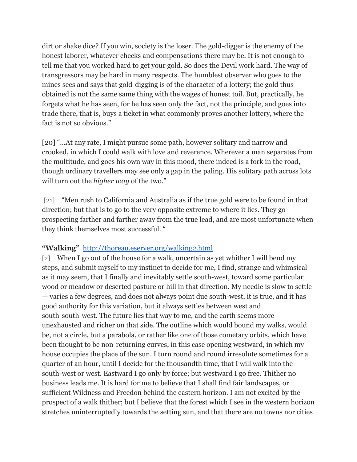dirt or shake dice? If you win, society is the loser. The gold-digger is the enemy of the honest laborer, whatever checks and compensations there may be. It is not enough to tell me that you worked hard to get your gold. So does the Devil work hard. The way of transgressors may be hard in many respects. The humblest observer who goes to the mines sees and says that gold-digging is of the character of a lottery; the gold thus obtained is not the same same thing with the wages of honest toil. But, practically, he forgets what he has seen, for he has seen only the fact, not the principle, and goes into trade there, that is, buys a ticket in what commonly proves another lottery, where the fact is not so obvious."

[20] "...At any rate, I might pursue some path, however solitary and narrow and crooked, in which I could walk with love and reverence. Wherever a man separates from the multitude, and goes his own way in this mood, there indeed is a fork in the road, though ordinary travellers may see only a gap in the paling. His solitary path across lots will turn out the *higher way* of the two."

[21] "Men rush to California and Australia as if the true gold were to be found in that direction; but that is to go to the very opposite extreme to where it lies. They go prospecting farther and farther away from the true lead, and are most unfortunate when they think themselves most successful. "

### **"Walking"**  <http://thoreau.eserver.org/walking2.html>

[2] When I go out of the house for a walk, uncertain as yet whither I will bend my steps, and submit myself to my instinct to decide for me, I find, strange and whimsical as it may seem, that I finally and inevitably settle south-west, toward some particular wood or meadow or deserted pasture or hill in that direction. My needle is slow to settle — varies a few degrees, and does not always point due south-west, it is true, and it has good authority for this variation, but it always settles between west and south-south-west. The future lies that way to me, and the earth seems more unexhausted and richer on that side. The outline which would bound my walks, would be, not a circle, but a parabola, or rather like one of those cometary orbits, which have been thought to be non-returning curves, in this case opening westward, in which my house occupies the place of the sun. I turn round and round irresolute sometimes for a quarter of an hour, until I decide for the thousandth time, that I will walk into the south-west or west. Eastward I go only by force; but westward I go free. Thither no business leads me. It is hard for me to believe that I shall find fair landscapes, or sufficient Wildness and Freedon behind the eastern horizon. I am not excited by the prospect of a walk thither; but I believe that the forest which I see in the western horizon stretches uninterruptedly towards the setting sun, and that there are no towns nor cities